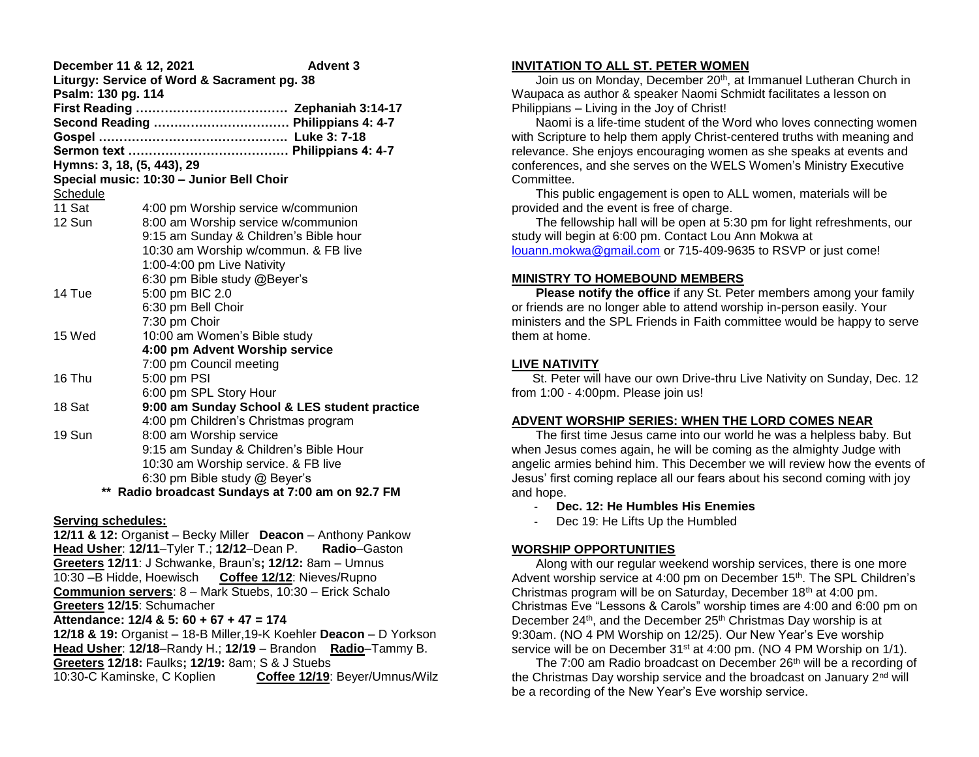| <b>Advent 3</b><br>December 11 & 12, 2021<br>Liturgy: Service of Word & Sacrament pg. 38<br>Psalm: 130 pg. 114 |                                               |
|----------------------------------------------------------------------------------------------------------------|-----------------------------------------------|
|                                                                                                                | Second Reading  Philippians 4: 4-7            |
|                                                                                                                |                                               |
| Hymns: 3, 18, (5, 443), 29                                                                                     |                                               |
|                                                                                                                | Special music: 10:30 - Junior Bell Choir      |
| Schedule                                                                                                       |                                               |
| 11 Sat                                                                                                         | 4:00 pm Worship service w/communion           |
| 12 Sun                                                                                                         | 8:00 am Worship service w/communion           |
|                                                                                                                | 9:15 am Sunday & Children's Bible hour        |
|                                                                                                                | 10:30 am Worship w/commun. & FB live          |
|                                                                                                                | 1:00-4:00 pm Live Nativity                    |
|                                                                                                                | 6:30 pm Bible study @Beyer's                  |
| 14 Tue                                                                                                         | 5:00 pm BIC 2.0                               |
|                                                                                                                | 6:30 pm Bell Choir                            |
|                                                                                                                | 7:30 pm Choir                                 |
| 15 Wed                                                                                                         | 10:00 am Women's Bible study                  |
|                                                                                                                | 4:00 pm Advent Worship service                |
|                                                                                                                | 7:00 pm Council meeting                       |
| 16 Thu                                                                                                         | 5:00 pm PSI                                   |
|                                                                                                                | 6:00 pm SPL Story Hour                        |
| 18 Sat                                                                                                         | 9:00 am Sunday School & LES student practice  |
|                                                                                                                | 4:00 pm Children's Christmas program          |
| 19 Sun                                                                                                         | 8:00 am Worship service                       |
|                                                                                                                | 9:15 am Sunday & Children's Bible Hour        |
|                                                                                                                | 10:30 am Worship service. & FB live           |
|                                                                                                                | 6:30 pm Bible study @ Beyer's                 |
| **                                                                                                             | Radio broadcast Sundays at 7:00 am on 92.7 FM |

#### **Serving schedules:**

**12/11 & 12:** Organis**t** – Becky Miller **Deacon** – Anthony Pankow **Head Usher**: **12/11**–Tyler T.; **12/12**–Dean P. **Radio**–Gaston **Greeters 12/11**: J Schwanke, Braun's**; 12/12:** 8am – Umnus 10:30 –B Hidde, Hoewisch **Coffee 12/12**: Nieves/Rupno **Communion servers**: 8 – Mark Stuebs, 10:30 – Erick Schalo **Greeters 12/15**: Schumacher

## **Attendance: 12/4 & 5: 60 + 67 + 47 = 174**

**12/18 & 19:** Organist – 18-B Miller,19-K Koehler **Deacon** – D Yorkson **Head Usher**: **12/18**–Randy H.; **12/19** – Brandon **Radio**–Tammy B. **Greeters 12/18:** Faulks**; 12/19:** 8am; S & J Stuebs 10:30**-**C Kaminske, C Koplien **Coffee 12/19**: Beyer/Umnus/Wilz

## **INVITATION TO ALL ST. PETER WOMEN**

Join us on Monday, December 20<sup>th</sup>, at Immanuel Lutheran Church in Waupaca as author & speaker Naomi Schmidt facilitates a lesson on Philippians – Living in the Joy of Christ!

 Naomi is a life-time student of the Word who loves connecting women with Scripture to help them apply Christ-centered truths with meaning and relevance. She enjoys encouraging women as she speaks at events and conferences, and she serves on the WELS Women's Ministry Executive **Committee.** 

 This public engagement is open to ALL women, materials will be provided and the event is free of charge.

 The fellowship hall will be open at 5:30 pm for light refreshments, our study will begin at 6:00 pm. Contact Lou Ann Mokwa at [louann.mokwa@gmail.com](mailto:louann.mokwa@gmail.com) or 715-409-9635 to RSVP or just come!

## **MINISTRY TO HOMEBOUND MEMBERS**

**Please notify the office** if any St. Peter members among your family or friends are no longer able to attend worship in-person easily. Your ministers and the SPL Friends in Faith committee would be happy to serve them at home.

# **LIVE NATIVITY**

 St. Peter will have our own Drive-thru Live Nativity on Sunday, Dec. 12 from 1:00 - 4:00pm. Please join us!

## **ADVENT WORSHIP SERIES: WHEN THE LORD COMES NEAR**

 The first time Jesus came into our world he was a helpless baby. But when Jesus comes again, he will be coming as the almighty Judge with angelic armies behind him. This December we will review how the events of Jesus' first coming replace all our fears about his second coming with joy and hope.

- **Dec. 12: He Humbles His Enemies**
- Dec 19: He Lifts Up the Humbled

## **WORSHIP OPPORTUNITIES**

 Along with our regular weekend worship services, there is one more Advent worship service at 4:00 pm on December 15<sup>th</sup>. The SPL Children's Christmas program will be on Saturday, December 18th at 4:00 pm. Christmas Eve "Lessons & Carols" worship times are 4:00 and 6:00 pm on December 24<sup>th</sup>, and the December 25<sup>th</sup> Christmas Day worship is at 9:30am. (NO 4 PM Worship on 12/25). Our New Year's Eve worship service will be on December 31<sup>st</sup> at 4:00 pm. (NO 4 PM Worship on 1/1).

The 7:00 am Radio broadcast on December 26<sup>th</sup> will be a recording of the Christmas Day worship service and the broadcast on January 2<sup>nd</sup> will be a recording of the New Year's Eve worship service.